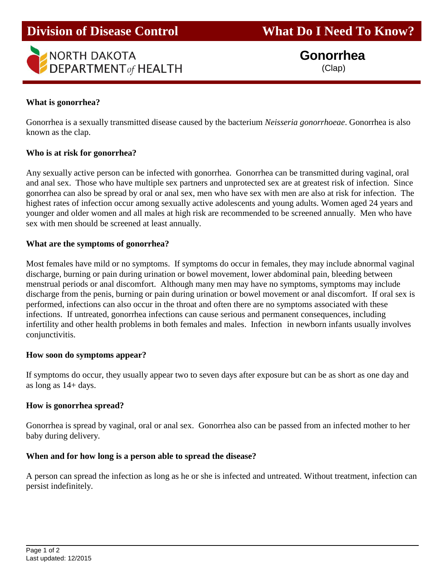

**Division of Disease Control What Do I Need To Know?** 

 **Gonorrhea** (Clap)

## **What is gonorrhea?**

Gonorrhea is a sexually transmitted disease caused by the bacterium *Neisseria gonorrhoeae*. Gonorrhea is also known as the clap.

## **Who is at risk for gonorrhea?**

Any sexually active person can be infected with gonorrhea. Gonorrhea can be transmitted during vaginal, oral and anal sex. Those who have multiple sex partners and unprotected sex are at greatest risk of infection. Since gonorrhea can also be spread by oral or anal sex, men who have sex with men are also at risk for infection. The highest rates of infection occur among sexually active adolescents and young adults. Women aged 24 years and younger and older women and all males at high risk are recommended to be screened annually. Men who have sex with men should be screened at least annually.

## **What are the symptoms of gonorrhea?**

Most females have mild or no symptoms. If symptoms do occur in females, they may include abnormal vaginal discharge, burning or pain during urination or bowel movement, lower abdominal pain, bleeding between menstrual periods or anal discomfort. Although many men may have no symptoms, symptoms may include discharge from the penis, burning or pain during urination or bowel movement or anal discomfort. If oral sex is performed, infections can also occur in the throat and often there are no symptoms associated with these infections. If untreated, gonorrhea infections can cause serious and permanent consequences, including infertility and other health problems in both females and males. Infection in newborn infants usually involves conjunctivitis.

## **How soon do symptoms appear?**

If symptoms do occur, they usually appear two to seven days after exposure but can be as short as one day and as long as 14+ days.

## **How is gonorrhea spread?**

Gonorrhea is spread by vaginal, oral or anal sex. Gonorrhea also can be passed from an infected mother to her baby during delivery.

## **When and for how long is a person able to spread the disease?**

A person can spread the infection as long as he or she is infected and untreated. Without treatment, infection can persist indefinitely.